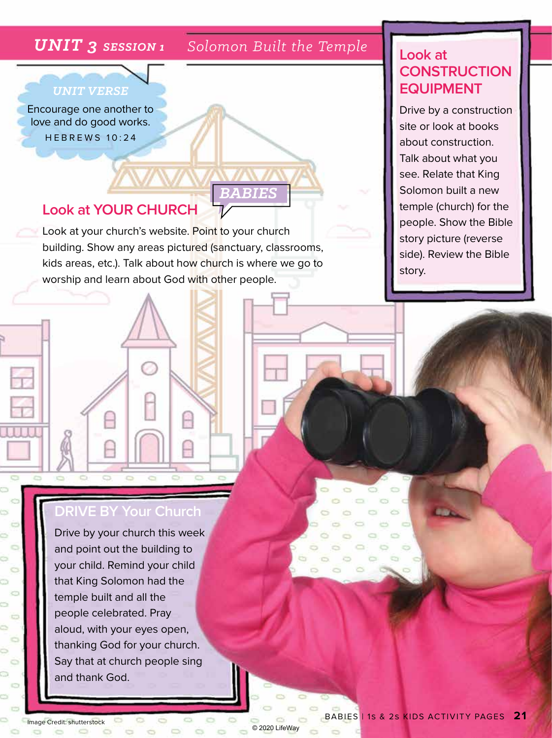#### *UNIT 3 SESSION 1 Solomon Built the Temple*

*BABIES*

© 2020 LifeWay

 $\sim$ 

ò

 $O$   $O$ 

 $\bullet$ Ò

 $\circ$ 

#### *UNIT VERSE*

Encourage one another to love and do good works. HEBREWS 10:24

#### **Look at YOUR CHURCH**

Look at your church's website. Point to your church building. Show any areas pictured (sanctuary, classrooms, kids areas, etc.). Talk about how church is where we go to worship and learn about God with other people.

### **Look at CONSTRUCTION EQUIPMENT**

Drive by a construction site or look at books about construction. Talk about what you see. Relate that King Solomon built a new temple (church) for the people. Show the Bible story picture (reverse side). Review the Bible story.

#### **DRIVE BY Your Church**

Drive by your church this week and point out the building to your child. Remind your child that King Solomon had the temple built and all the people celebrated. Pray aloud, with your eyes open, thanking God for your church. Say that at church people sing and thank God.

**Image Credit: shutterstock**  $\begin{array}{ccc} & \circ & \circ & \circ \end{array}$ 

ö

ò G ō Ö S  $\overline{a}$ ò  $\circ$ ö  $\sum_{i=1}^{n}$ Ō,  $\circ$ Ġ. **CS** O,

 $\sim$